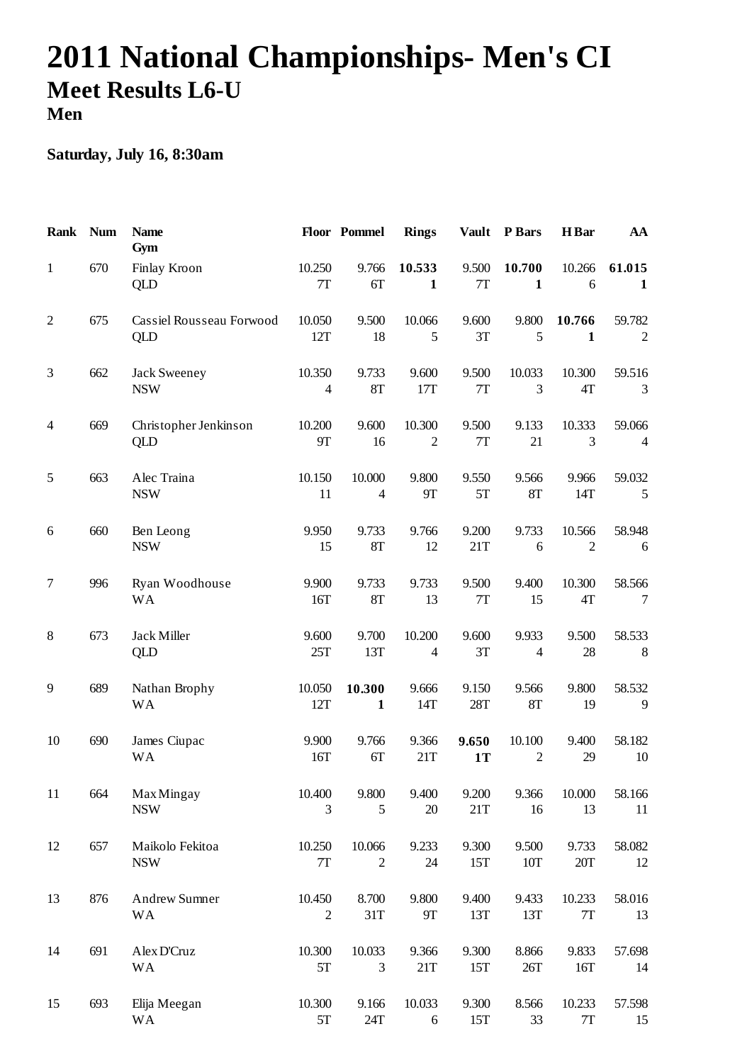## **2011 National Championships- Men's CI Meet Results L6-U Men**

## **Saturday, July 16, 8:30am**

| <b>Rank</b>      | <b>Num</b> | <b>Name</b><br>Gym                     |                          | Floor Pommel             | <b>Rings</b>               | <b>Vault</b>       | P Bars                   | H Bar                    | AA                       |
|------------------|------------|----------------------------------------|--------------------------|--------------------------|----------------------------|--------------------|--------------------------|--------------------------|--------------------------|
| $\mathbf{1}$     | 670        | Finlay Kroon<br>QLD                    | 10.250<br>7T             | 9.766<br>6T              | 10.533<br>$\mathbf{1}$     | 9.500<br>7T        | 10.700<br>$\mathbf{1}$   | 10.266<br>6              | 61.015<br>$\mathbf{1}$   |
| $\mathfrak{2}$   | 675        | Cassiel Rousseau Forwood<br><b>QLD</b> | 10.050<br>12T            | 9.500<br>18              | 10.066<br>5                | 9.600<br>3T        | 9.800<br>5               | 10.766<br>1              | 59.782<br>$\overline{2}$ |
| 3                | 662        | Jack Sweeney<br><b>NSW</b>             | 10.350<br>$\overline{4}$ | 9.733<br>8T              | 9.600<br>17T               | 9.500<br>7T        | 10.033<br>3              | 10.300<br>4T             | 59.516<br>3              |
| $\overline{4}$   | 669        | Christopher Jenkinson<br>QLD           | 10.200<br><b>9T</b>      | 9.600<br>16              | 10.300<br>$\overline{2}$   | 9.500<br>7T        | 9.133<br>21              | 10.333<br>3              | 59.066<br>$\overline{4}$ |
| 5                | 663        | Alec Traina<br><b>NSW</b>              | 10.150<br>11             | 10.000<br>$\overline{4}$ | 9.800<br><b>9T</b>         | 9.550<br>5T        | 9.566<br>8T              | 9.966<br>14T             | 59.032<br>$\mathfrak{S}$ |
| 6                | 660        | Ben Leong<br><b>NSW</b>                | 9.950<br>15              | 9.733<br>8T              | 9.766<br>12                | 9.200<br>21T       | 9.733<br>6               | 10.566<br>$\overline{2}$ | 58.948<br>6              |
| $\boldsymbol{7}$ | 996        | Ryan Woodhouse<br><b>WA</b>            | 9.900<br>16T             | 9.733<br>8T              | 9.733<br>13                | 9.500<br>7T        | 9.400<br>15              | 10.300<br>4T             | 58.566<br>7              |
| $\,8\,$          | 673        | Jack Miller<br>QLD                     | 9.600<br>25T             | 9.700<br>13T             | 10.200<br>$\overline{4}$   | 9.600<br>3T        | 9.933<br>$\overline{4}$  | 9.500<br>28              | 58.533<br>8              |
| 9                | 689        | Nathan Brophy<br>WA                    | 10.050<br>12T            | 10.300<br>$\mathbf{1}$   | 9.666<br>14T               | 9.150<br>28T       | 9.566<br>8T              | 9.800<br>19              | 58.532<br>9              |
| 10               | 690        | James Ciupac<br><b>WA</b>              | 9.900<br>16T             | 9.766<br>6T              | 9.366<br>21T               | 9.650<br><b>1T</b> | 10.100<br>$\overline{2}$ | 9.400<br>29              | 58.182<br>10             |
| 11               | 664        | <b>Max Mingay</b><br><b>NSW</b>        | 10.400<br>3              | 9.800<br>5               | 9.400<br>$20\,$            | 9.200<br>21T       | 9.366<br>16              | 10.000<br>13             | 58.166<br>11             |
| 12               | 657        | Maikolo Fekitoa<br><b>NSW</b>          | 10.250<br>7T             | 10.066<br>$\overline{c}$ | 9.233<br>$24\,$            | 9.300<br>15T       | 9.500<br>10T             | 9.733<br>20T             | 58.082<br>12             |
| 13               | 876        | <b>Andrew Sumner</b><br><b>WA</b>      | 10.450<br>$\overline{2}$ | 8.700<br>31T             | 9.800<br>9Τ                | 9.400<br>13T       | 9.433<br>13T             | 10.233<br>$7\mathrm{T}$  | 58.016<br>13             |
| 14               | 691        | Alex D'Cruz<br><b>WA</b>               | 10.300<br>$5\mathrm{T}$  | 10.033<br>3              | 9.366<br>21T               | 9.300<br>15T       | 8.866<br>26T             | 9.833<br>16T             | 57.698<br>14             |
| 15               | 693        | Elija Meegan<br><b>WA</b>              | 10.300<br>$5T$           | 9.166<br>24T             | 10.033<br>$\boldsymbol{6}$ | 9.300<br>15T       | 8.566<br>33              | 10.233<br>$7\mathrm{T}$  | 57.598<br>15             |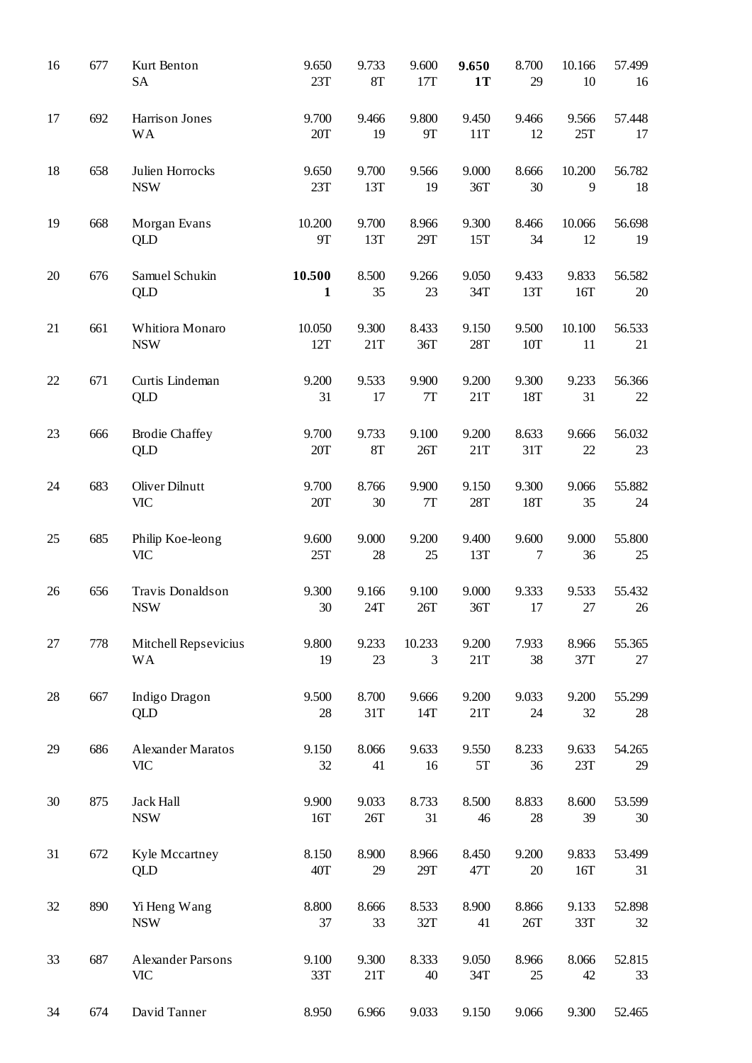| 16 | 677 | Kurt Benton<br><b>SA</b>               | 9.650<br>23T           | 9.733<br>8T  | 9.600<br>17T           | 9.650<br>1T  | 8.700<br>29  | 10.166<br>10 | 57.499<br>16 |
|----|-----|----------------------------------------|------------------------|--------------|------------------------|--------------|--------------|--------------|--------------|
| 17 | 692 | Harrison Jones<br><b>WA</b>            | 9.700<br>20T           | 9.466<br>19  | 9.800<br>9Τ            | 9.450<br>11T | 9.466<br>12  | 9.566<br>25T | 57.448<br>17 |
| 18 | 658 | Julien Horrocks<br><b>NSW</b>          | 9.650<br>23T           | 9.700<br>13T | 9.566<br>19            | 9.000<br>36T | 8.666<br>30  | 10.200<br>9  | 56.782<br>18 |
| 19 | 668 | Morgan Evans<br><b>QLD</b>             | 10.200<br>9Τ           | 9.700<br>13T | 8.966<br>29T           | 9.300<br>15T | 8.466<br>34  | 10.066<br>12 | 56.698<br>19 |
| 20 | 676 | Samuel Schukin<br><b>QLD</b>           | 10.500<br>$\mathbf{1}$ | 8.500<br>35  | 9.266<br>23            | 9.050<br>34T | 9.433<br>13T | 9.833<br>16T | 56.582<br>20 |
| 21 | 661 | Whitiora Monaro<br><b>NSW</b>          | 10.050<br>12T          | 9.300<br>21T | 8.433<br>36T           | 9.150<br>28T | 9.500<br>10T | 10.100<br>11 | 56.533<br>21 |
| 22 | 671 | Curtis Lindeman<br><b>QLD</b>          | 9.200<br>31            | 9.533<br>17  | 9.900<br>$7\mathrm{T}$ | 9.200<br>21T | 9.300<br>18T | 9.233<br>31  | 56.366<br>22 |
| 23 | 666 | <b>Brodie Chaffey</b><br>QLD           | 9.700<br>20T           | 9.733<br>8T  | 9.100<br>26T           | 9.200<br>21T | 8.633<br>31T | 9.666<br>22  | 56.032<br>23 |
| 24 | 683 | Oliver Dilnutt<br><b>VIC</b>           | 9.700<br>20T           | 8.766<br>30  | 9.900<br>7T            | 9.150<br>28T | 9.300<br>18T | 9.066<br>35  | 55.882<br>24 |
| 25 | 685 | Philip Koe-leong<br><b>VIC</b>         | 9.600<br>25T           | 9.000<br>28  | 9.200<br>25            | 9.400<br>13T | 9.600<br>7   | 9.000<br>36  | 55.800<br>25 |
| 26 | 656 | Travis Donaldson<br><b>NSW</b>         | 9.300<br>30            | 9.166<br>24T | 9.100<br>26T           | 9.000<br>36T | 9.333<br>17  | 9.533<br>27  | 55.432<br>26 |
| 27 | 778 | Mitchell Repsevicius<br><b>WA</b>      | 9.800<br>19            | 9.233<br>23  | 10.233<br>3            | 9.200<br>21T | 7.933<br>38  | 8.966<br>37T | 55.365<br>27 |
| 28 | 667 | Indigo Dragon<br>QLD                   | 9.500<br>28            | 8.700<br>31T | 9.666<br>14T           | 9.200<br>21T | 9.033<br>24  | 9.200<br>32  | 55.299<br>28 |
| 29 | 686 | Alexander Maratos<br><b>VIC</b>        | 9.150<br>32            | 8.066<br>41  | 9.633<br>16            | 9.550<br>5T  | 8.233<br>36  | 9.633<br>23T | 54.265<br>29 |
| 30 | 875 | <b>Jack Hall</b><br><b>NSW</b>         | 9.900<br>16T           | 9.033<br>26T | 8.733<br>31            | 8.500<br>46  | 8.833<br>28  | 8.600<br>39  | 53.599<br>30 |
| 31 | 672 | Kyle Mccartney<br>QLD                  | 8.150<br>40T           | 8.900<br>29  | 8.966<br>29T           | 8.450<br>47T | 9.200<br>20  | 9.833<br>16T | 53.499<br>31 |
| 32 | 890 | Yi Heng Wang<br><b>NSW</b>             | 8.800<br>37            | 8.666<br>33  | 8.533<br>32T           | 8.900<br>41  | 8.866<br>26T | 9.133<br>33T | 52.898<br>32 |
| 33 | 687 | <b>Alexander Parsons</b><br><b>VIC</b> | 9.100<br>33T           | 9.300<br>21T | 8.333<br>40            | 9.050<br>34T | 8.966<br>25  | 8.066<br>42  | 52.815<br>33 |
| 34 | 674 | David Tanner                           | 8.950                  | 6.966        | 9.033                  | 9.150        | 9.066        | 9.300        | 52.465       |